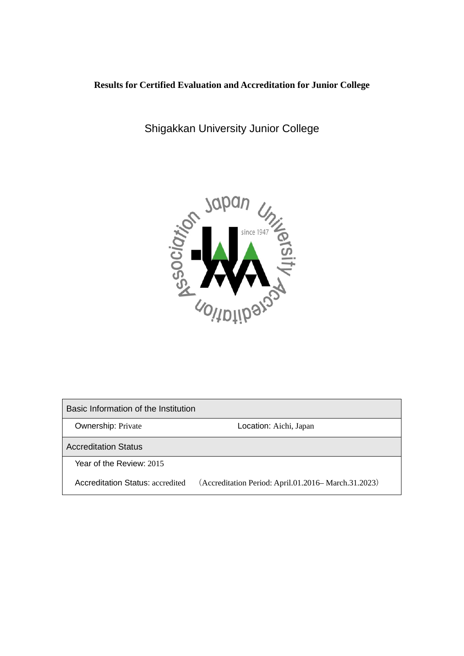# **Results for Certified Evaluation and Accreditation for Junior College**

Shigakkan University Junior College



Basic Information of the Institution **Ownership: Private Community Constraints: Aichi, Japan** Accreditation Status Year of the Review: 2015 Accreditation Status: accredited (Accreditation Period: April.01.2016– March.31.2023)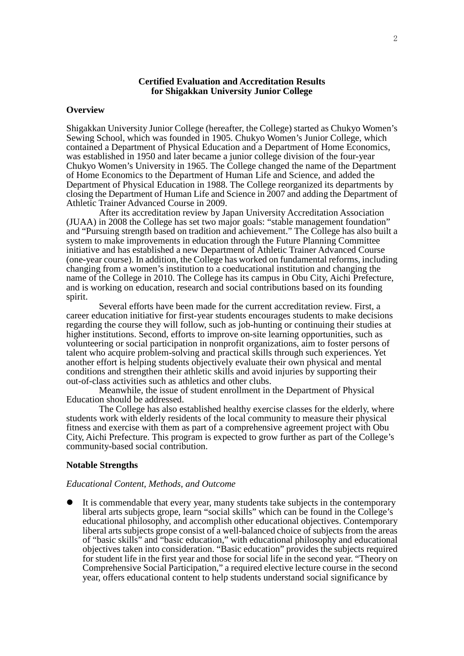### **Certified Evaluation and Accreditation Results for Shigakkan University Junior College**

#### **Overview**

Shigakkan University Junior College (hereafter, the College) started as Chukyo Women's Sewing School, which was founded in 1905. Chukyo Women's Junior College, which contained a Department of Physical Education and a Department of Home Economics, was established in 1950 and later became a junior college division of the four-year Chukyo Women's University in 1965. The College changed the name of the Department of Home Economics to the Department of Human Life and Science, and added the Department of Physical Education in 1988. The College reorganized its departments by closing the Department of Human Life and Science in 2007 and adding the Department of Athletic Trainer Advanced Course in 2009.

After its accreditation review by Japan University Accreditation Association (JUAA) in 2008 the College has set two major goals: "stable management foundation" and "Pursuing strength based on tradition and achievement." The College has also built a system to make improvements in education through the Future Planning Committee initiative and has established a new Department of Athletic Trainer Advanced Course (one-year course). In addition, the College has worked on fundamental reforms, including changing from a women's institution to a coeducational institution and changing the name of the College in 2010. The College has its campus in Obu City. Aichi Prefecture. and is working on education, research and social contributions based on its founding spirit.

Several efforts have been made for the current accreditation review. First, a career education initiative for first-year students encourages students to make decisions regarding the course they will follow, such as job-hunting or continuing their studies at higher institutions. Second, efforts to improve on-site learning opportunities, such as volunteering or social participation in nonprofit organizations, aim to foster persons of talent who acquire problem-solving and practical skills through such experiences. Yet another effort is helping students objectively evaluate their own physical and mental conditions and strengthen their athletic skills and avoid injuries by supporting their out-of-class activities such as athletics and other clubs.

Meanwhile, the issue of student enrollment in the Department of Physical Education should be addressed.

The College has also established healthy exercise classes for the elderly, where students work with elderly residents of the local community to measure their physical fitness and exercise with them as part of a comprehensive agreement project with Obu City, Aichi Prefecture. This program is expected to grow further as part of the College's community-based social contribution.

### **Notable Strengths**

# *Educational Content, Methods, and Outcome*

 It is commendable that every year, many students take subjects in the contemporary liberal arts subjects grope, learn "social skills" which can be found in the College's educational philosophy, and accomplish other educational objectives. Contemporary liberal arts subjects grope consist of a well-balanced choice of subjects from the areas of "basic skills" and "basic education," with educational philosophy and educational objectives taken into consideration. "Basic education" provides the subjects required for student life in the first year and those for social life in the second year. "Theory on Comprehensive Social Participation," a required elective lecture course in the second year, offers educational content to help students understand social significance by